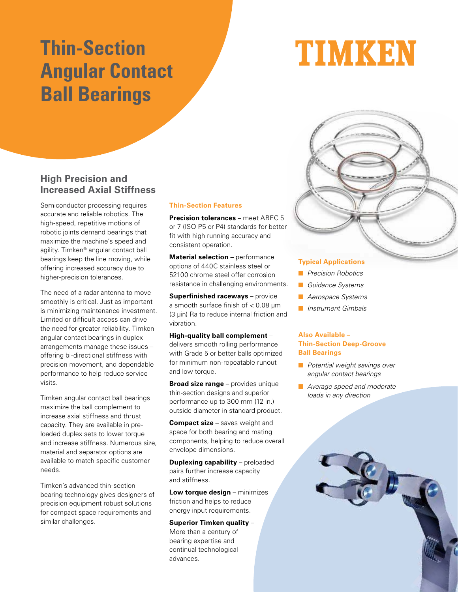# **Thin-Section Angular Contact Ball Bearings**

# TIMKEN



Semiconductor processing requires accurate and reliable robotics. The high-speed, repetitive motions of robotic joints demand bearings that maximize the machine's speed and agility. Timken® angular contact ball bearings keep the line moving, while offering increased accuracy due to higher-precision tolerances.

The need of a radar antenna to move smoothly is critical. Just as important is minimizing maintenance investment. Limited or difficult access can drive the need for greater reliability. Timken angular contact bearings in duplex arrangements manage these issues – offering bi-directional stiffness with precision movement, and dependable performance to help reduce service visits.

Timken angular contact ball bearings maximize the ball complement to increase axial stiffness and thrust capacity. They are available in preloaded duplex sets to lower torque and increase stiffness. Numerous size, material and separator options are available to match specific customer needs.

Timken's advanced thin-section bearing technology gives designers of precision equipment robust solutions for compact space requirements and similar challenges.

# **Thin-Section Features**

**Precision tolerances** – meet ABEC 5 or 7 (ISO P5 or P4) standards for better fit with high running accuracy and consistent operation.

**Material selection** – performance options of 440C stainless steel or 52100 chrome steel offer corrosion resistance in challenging environments.

**Superfinished raceways** – provide a smooth surface finish of < 0.08 μm (3 μin) Ra to reduce internal friction and vibration.

### **High-quality ball complement** –

delivers smooth rolling performance with Grade 5 or better balls optimized for minimum non-repeatable runout and low torque.

**Broad size range** – provides unique thin-section designs and superior performance up to 300 mm (12 in.) outside diameter in standard product.

**Compact size** – saves weight and space for both bearing and mating components, helping to reduce overall envelope dimensions.

**Duplexing capability** – preloaded pairs further increase capacity and stiffness.

**Low torque design** – minimizes friction and helps to reduce energy input requirements.

# **Superior Timken quality** –

More than a century of bearing expertise and continual technological advances.

### **Typical Applications**

- **n** Precision Robotics
- **n** Guidance Systems
- **n** Aerospace Systems
- **n** Instrument Gimbals

# **Also Available – Thin-Section Deep-Groove Ball Bearings**

- $\blacksquare$  Potential weight savings over angular contact bearings
- **N** Average speed and moderate loads in any direction